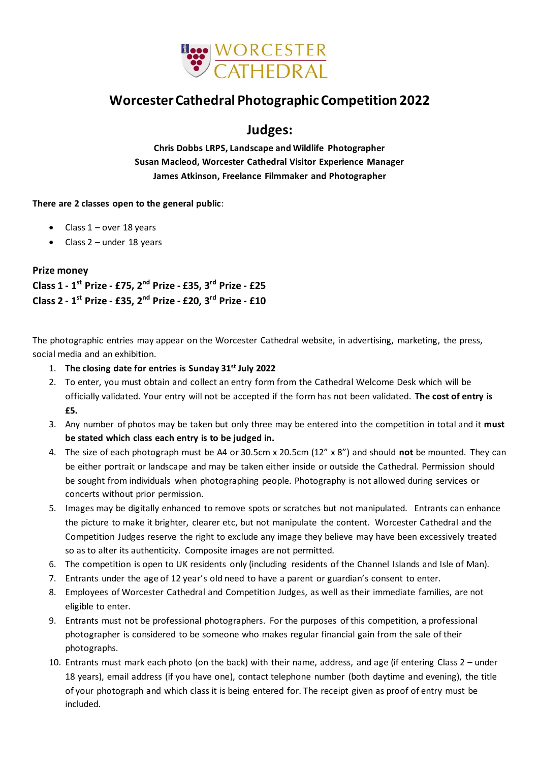

# **Worcester Cathedral Photographic Competition 2022**

## **Judges:**

**Chris Dobbs LRPS, Landscape and Wildlife Photographer Susan Macleod, Worcester Cathedral Visitor Experience Manager James Atkinson, Freelance Filmmaker and Photographer** 

### **There are 2 classes open to the general public**:

- Class  $1$  over 18 years
- Class  $2$  under 18 years

### **Prize money**

**Class 1 - 1 st Prize - £75, 2 nd Prize - £35, 3 rd Prize - £25 Class 2 - 1 st Prize - £35, 2 nd Prize - £20, 3 rd Prize - £10**

The photographic entries may appear on the Worcester Cathedral website, in advertising, marketing, the press, social media and an exhibition.

- 1. **The closing date for entries is Sunday 31st July 2022**
- 2. To enter, you must obtain and collect an entry form from the Cathedral Welcome Desk which will be officially validated. Your entry will not be accepted if the form has not been validated. **The cost of entry is £5.**
- 3. Any number of photos may be taken but only three may be entered into the competition in total and it **must be stated which class each entry is to be judged in.**
- 4. The size of each photograph must be A4 or 30.5cm x 20.5cm (12" x 8") and should **not** be mounted. They can be either portrait or landscape and may be taken either inside or outside the Cathedral. Permission should be sought from individuals when photographing people. Photography is not allowed during services or concerts without prior permission.
- 5. Images may be digitally enhanced to remove spots or scratches but not manipulated. Entrants can enhance the picture to make it brighter, clearer etc, but not manipulate the content. Worcester Cathedral and the Competition Judges reserve the right to exclude any image they believe may have been excessively treated so as to alter its authenticity. Composite images are not permitted.
- 6. The competition is open to UK residents only (including residents of the Channel Islands and Isle of Man).
- 7. Entrants under the age of 12 year's old need to have a parent or guardian's consent to enter.
- 8. Employees of Worcester Cathedral and Competition Judges, as well as their immediate families, are not eligible to enter.
- 9. Entrants must not be professional photographers. For the purposes of this competition, a professional photographer is considered to be someone who makes regular financial gain from the sale of their photographs.
- 10. Entrants must mark each photo (on the back) with their name, address, and age (if entering Class 2 under 18 years), email address (if you have one), contact telephone number (both daytime and evening), the title of your photograph and which class it is being entered for. The receipt given as proof of entry must be included.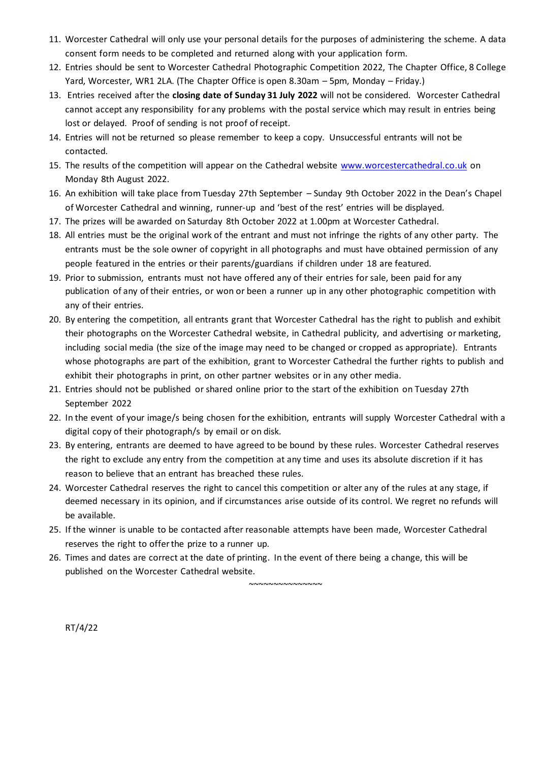- 11. Worcester Cathedral will only use your personal details for the purposes of administering the scheme. A data consent form needs to be completed and returned along with your application form.
- 12. Entries should be sent to Worcester Cathedral Photographic Competition 2022, The Chapter Office, 8 College Yard, Worcester, WR1 2LA. (The Chapter Office is open 8.30am – 5pm, Monday – Friday.)
- 13. Entries received after the **closing date of Sunday 31 July 2022** will not be considered. Worcester Cathedral cannot accept any responsibility for any problems with the postal service which may result in entries being lost or delayed. Proof of sending is not proof of receipt.
- 14. Entries will not be returned so please remember to keep a copy. Unsuccessful entrants will not be contacted.
- 15. The results of the competition will appear on the Cathedral website [www.worcestercathedral.co.uk](http://www.worcestercathedral.co.uk/) on Monday 8th August 2022.
- 16. An exhibition will take place from Tuesday 27th September Sunday 9th October 2022 in the Dean's Chapel of Worcester Cathedral and winning, runner-up and 'best of the rest' entries will be displayed.
- 17. The prizes will be awarded on Saturday 8th October 2022 at 1.00pm at Worcester Cathedral.
- 18. All entries must be the original work of the entrant and must not infringe the rights of any other party. The entrants must be the sole owner of copyright in all photographs and must have obtained permission of any people featured in the entries or their parents/guardians if children under 18 are featured.
- 19. Prior to submission, entrants must not have offered any of their entries for sale, been paid for any publication of any of their entries, or won or been a runner up in any other photographic competition with any of their entries.
- 20. By entering the competition, all entrants grant that Worcester Cathedral has the right to publish and exhibit their photographs on the Worcester Cathedral website, in Cathedral publicity, and advertising or marketing, including social media (the size of the image may need to be changed or cropped as appropriate). Entrants whose photographs are part of the exhibition, grant to Worcester Cathedral the further rights to publish and exhibit their photographs in print, on other partner websites or in any other media.
- 21. Entries should not be published or shared online prior to the start of the exhibition on Tuesday 27th September 2022
- 22. In the event of your image/s being chosen for the exhibition, entrants will supply Worcester Cathedral with a digital copy of their photograph/s by email or on disk.
- 23. By entering, entrants are deemed to have agreed to be bound by these rules. Worcester Cathedral reserves the right to exclude any entry from the competition at any time and uses its absolute discretion if it has reason to believe that an entrant has breached these rules.
- 24. Worcester Cathedral reserves the right to cancel this competition or alter any of the rules at any stage, if deemed necessary in its opinion, and if circumstances arise outside of its control. We regret no refunds will be available.
- 25. If the winner is unable to be contacted after reasonable attempts have been made, Worcester Cathedral reserves the right to offer the prize to a runner up.

~~~~~~~~~~~~~~~

26. Times and dates are correct at the date of printing. In the event of there being a change, this will be published on the Worcester Cathedral website.

RT/4/22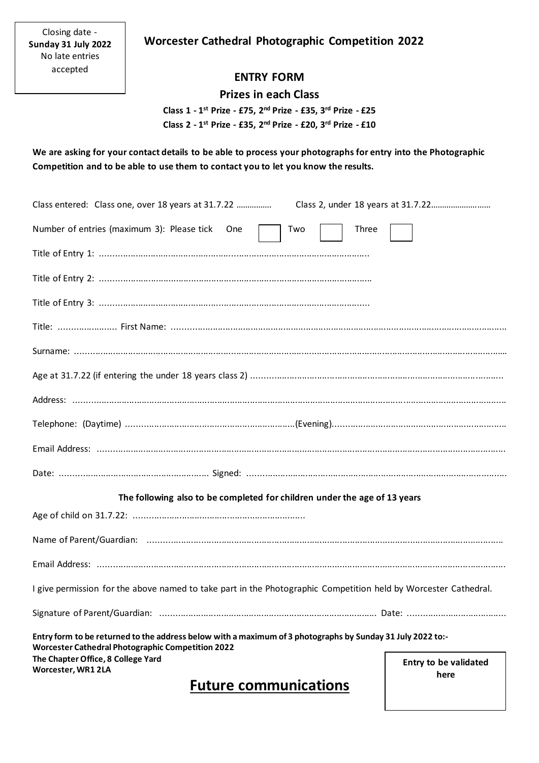Closing date - **Sunday 31 July 2022** No late entries accepted

### **Worcester Cathedral Photographic Competition 2022**

### **ENTRY FORM**

### **Prizes in each Class**

 **Class 1 - 1 st Prize - £75, 2 nd Prize - £35, 3 rd Prize - £25 Class 2 - 1 st Prize - £35, 2 nd Prize - £20, 3 rd Prize - £10**

**We are asking for your contact details to be able to process your photographs for entry into the Photographic Competition and to be able to use them to contact you to let you know the results.** 

| <b>Worcester Cathedral Photographic Competition 2022</b><br>The Chapter Office, 8 College Yard<br>Worcester, WR1 2LA | <b>Entry to be validated</b><br>here |
|----------------------------------------------------------------------------------------------------------------------|--------------------------------------|
| Entry form to be returned to the address below with a maximum of 3 photographs by Sunday 31 July 2022 to:-           |                                      |
|                                                                                                                      |                                      |
| I give permission for the above named to take part in the Photographic Competition held by Worcester Cathedral.      |                                      |
|                                                                                                                      |                                      |
|                                                                                                                      |                                      |
|                                                                                                                      |                                      |
| The following also to be completed for children under the age of 13 years                                            |                                      |
|                                                                                                                      |                                      |
|                                                                                                                      |                                      |
|                                                                                                                      |                                      |
|                                                                                                                      |                                      |
|                                                                                                                      |                                      |
|                                                                                                                      |                                      |
|                                                                                                                      |                                      |
|                                                                                                                      |                                      |
|                                                                                                                      |                                      |
|                                                                                                                      |                                      |
| Number of entries (maximum 3): Please tick<br>Three<br>Two<br>One                                                    |                                      |
| Class entered: Class one, over 18 years at 31.7.22                                                                   |                                      |

# **Future communications**